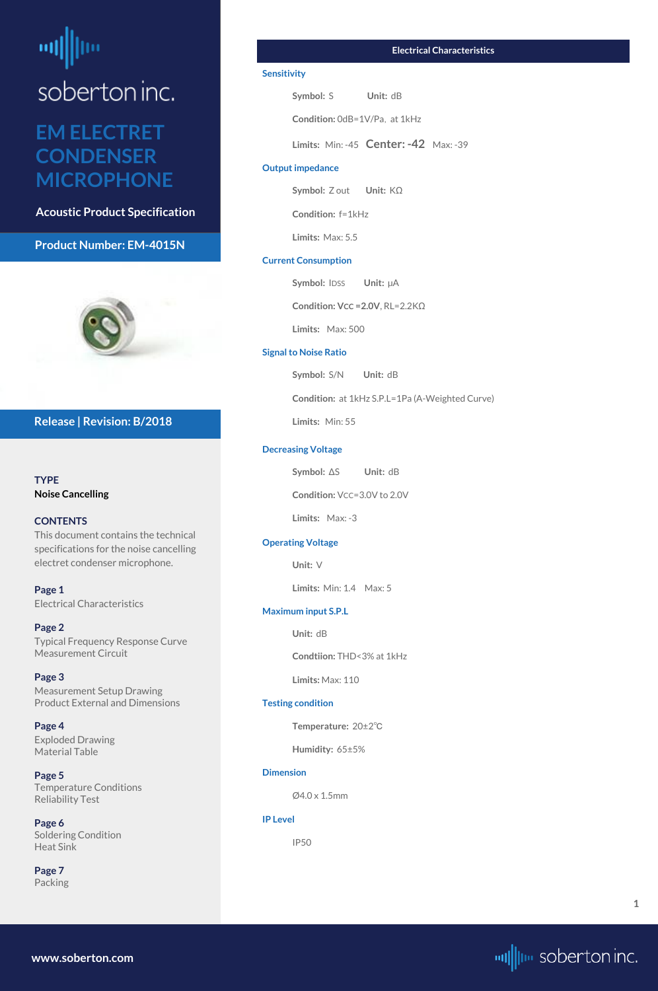## <span id="page-0-0"></span>**EM ELECTRET CONDENSER MICROPHONE**

**Acoustic Product Specification**

### **Product Number: EM-4015N**



**TYPE Noise Cancelling** 

### **CONTENTS**

This document contains the technical specifications for the noise cancelling electret condenser microphone.

**Page 1** Electrical Characteristics

**[Page 2](#page-1-0)** [Typical Frequency Response Curve](#page-1-0) [Measurement Circuit](#page-1-0)

**[Page 3](#page-2-0)** [Measurement Setup Drawing](#page-2-0) [Product External and Dimensions](#page-2-0)

**[Page 4](#page-3-0)** [Exploded Drawing](#page-3-0)  [Material Table](#page-3-0)

**[Page 5](#page-4-0)** [Temperature Conditions](#page-4-0) [Reliability Test](#page-4-0)

**[Page 6](#page-5-0)** [Soldering Condition](#page-5-0) [Heat Sink](#page-5-0)

**[Page](#page-6-0) 7** [Packing](#page-6-0)

### **Release | Revision: B/2018**

**[www.soberton.com](http://www.soberton.com)**



**1**

### **Electrical Characteristics**

### **Sensitivity**

**Symbol: S Unit: dB** 

**Condition: OdB=1V/Pa, at 1kHz** 

**Limits:** Min: -45 **Center: -42** Max: -39

### **Output impedance**

**Symbol:** Z out **Unit:** KΩ

**Condition:** f=1kHz

**Limits:** Max: 5.5

### **Current Consumption**

**Symbol: IDSS Unit:**  $\mu$ A

**Condition: VCC =2.0V**, RL=2.2KΩ

**Limits:** Max: 500

### **Signal to Noise Ratio**

**Symbol:** S/N **Unit:** dB

**Condition:** at 1kHz S.P.L=1Pa (A-Weighted Curve)

**Limits:** Min: 55

### **Decreasing Voltage**

**Symbol:** ΔS **Unit:** dB

**Condition:**  $VCC=3.0V$  to 2.0V

**Limits:** Max: -3

### **Operating Voltage**

**Unit:** V

**Limits:** Min: 1.4 Max: 5

### **Maximum input S.P.L**

**Unit:** dB

**Condtiion:** THD<3% at 1kHz

**Limits:** Max: 110

### **Testing condition**

**Temperature:** 20±2℃

**Humidity:** 65±5%

### **Dimension**

Ø4.0 x 1.5mm

**IP Level**

IP50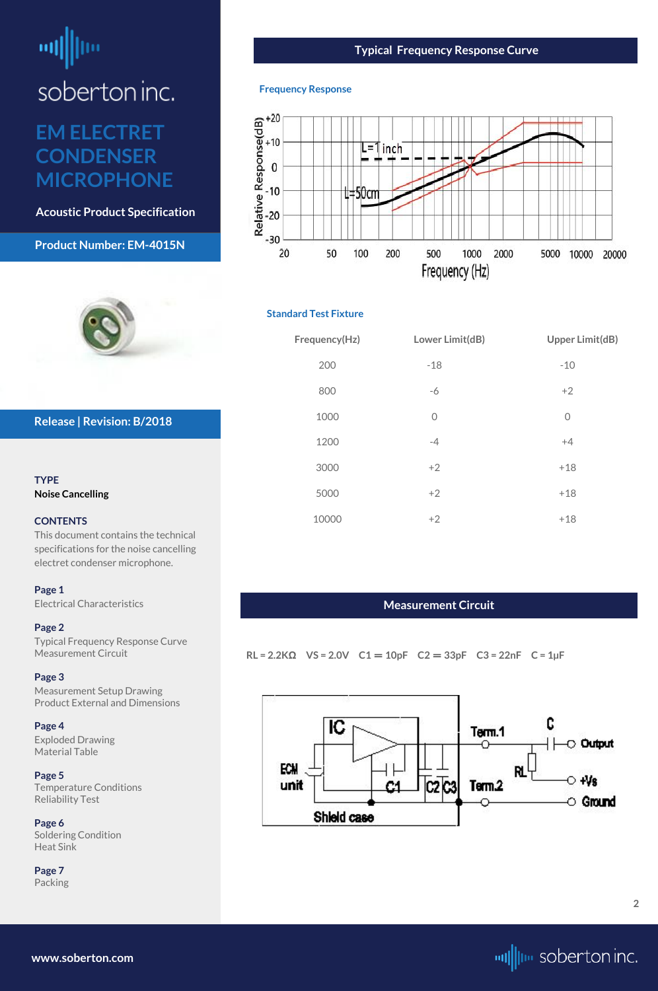# <span id="page-1-0"></span>ᆒ

soberton inc.

### **EM ELECTRET CONDENSER MICROPHONE**

**Acoustic Product Specification**

**Product Number: EM-4015N**



### **TYPE Noise Cancelling**

### **CONTENTS**

This document contains the technical specifications for the noise cancelling electret condenser microphone.

**[Page 1](#page-0-0)** [Electrical Characteri](#page-0-0)stics

### **Page 2**

Typical Frequency Response Curve Measurement Circuit

### **[Page 3](#page-2-0)**

[Measurement Setup Drawing](#page-2-0) [Product External and Dimensions](#page-2-0)

### **[Page 4](#page-3-0)**

[Exploded Drawing](#page-3-0) 

[Material Table](#page-3-0)

**[Page 5](#page-4-0)** [Temperature Conditions](#page-4-0) [Reliability Test](#page-4-0)

**[Page 6](#page-5-0)** [Soldering Condition](#page-5-0) [Heat Sink](#page-5-0)

**[Page](#page-6-0) 7** [Packing](#page-6-0)

### **Release | Revision: B/2018**

**[www.soberton.com](http://www.soberton.com)**



### **Typical Frequency Response Curve**

### **Frequency Response**



### **Standard Test Fixture**

| Frequency(Hz) | Lower Limit(dB) | <b>Upper Limit(dB)</b> |
|---------------|-----------------|------------------------|
| 200           | $-18$           | $-10$                  |
| 800           | $-6$            | $+2$                   |
| 1000          | $\overline{0}$  | $\overline{0}$         |
| 1200          | $-4$            | $+4$                   |
| 3000          | $+2$            | $+18$                  |
| 5000          | $+2$            | $+18$                  |
| 10000         | $+2$            | $+18$                  |

### **Measurement Circuit**

**RL = 2.2KΩ VS = 2.0V C1** = **10pF C2** = **33pF C3 = 22nF C = 1µF**

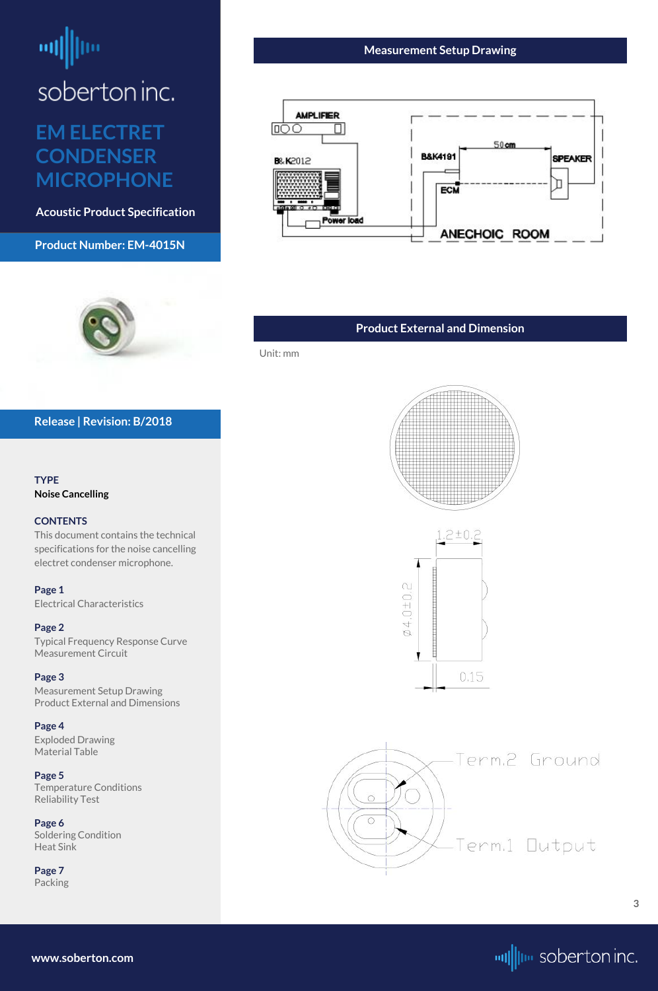### <span id="page-2-0"></span>**EM ELECTRET CONDENSER MICROPHONE**

**Acoustic Product Specification**

### **Product Number: EM-4015N**



**TYPE Noise Cancelling** 

### **CONTENTS**

This document contains the technical specifications for the noise cancelling electret condenser microphone.

**[Page 1](#page-0-0)** [Electrical Characteri](#page-0-0)stics

### **[Page 2](#page-1-0)**

[Typical Frequency Response Curve](#page-1-0) [Measurement Circuit](#page-1-0)

### **Page 3**

Measurement Setup Drawing Product External and Dimensions

### **[Page 4](#page-3-0)**

[Exploded Drawing](#page-3-0) 





[Material Table](#page-3-0)

**[Page 5](#page-4-0)** [Temperature Conditions](#page-4-0) [Reliability Test](#page-4-0)

**[Page 6](#page-5-0)** [Soldering Condition](#page-5-0) [Heat Sink](#page-5-0)

**[Page](#page-6-0) 7** [Packing](#page-6-0)



### **Release | Revision: B/2018**

**[www.soberton.com](http://www.soberton.com)**



### **Measurement Setup Drawing**



### **Product External and Dimension**

Unit: mm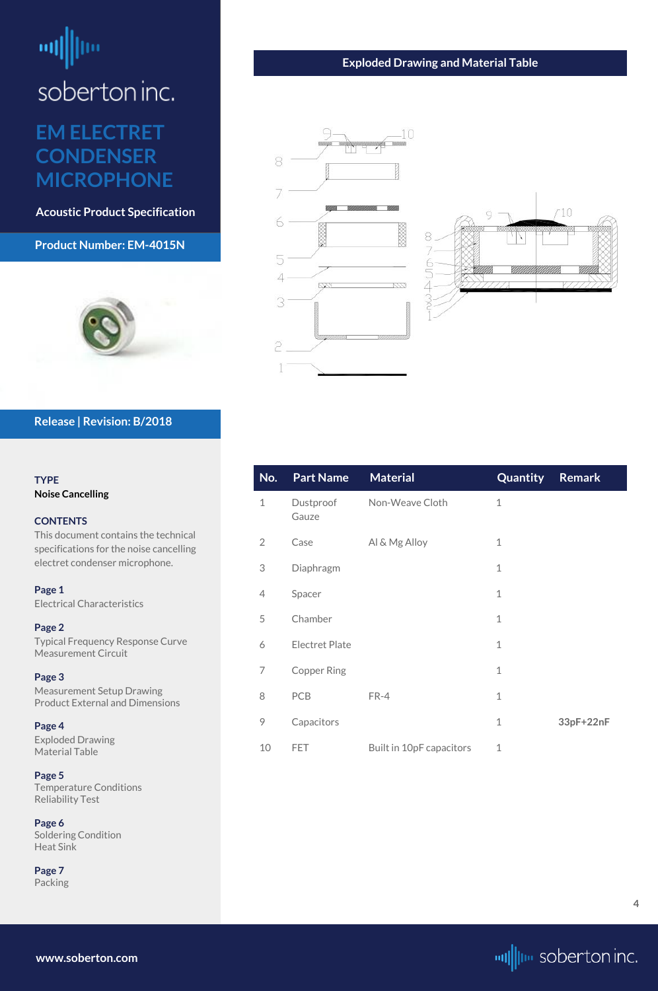## <span id="page-3-0"></span>million

soberton inc.

### **EM ELECTRET CONDENSER MICROPHONE**

**Acoustic Product Specification**

### **Product Number: EM-4015N**



| <b>TYPE</b>                                                                     | No.                        | <b>Part Name</b>      | <b>Material</b>          | <b>Quantity</b> | <b>Remark</b> |
|---------------------------------------------------------------------------------|----------------------------|-----------------------|--------------------------|-----------------|---------------|
| <b>Noise Cancelling</b>                                                         | $\mathbf 1$                | Dustproof             | Non-Weave Cloth          | $\mathbf 1$     |               |
| <b>CONTENTS</b>                                                                 |                            | Gauze                 |                          |                 |               |
| This document contains the technical<br>specifications for the noise cancelling | $\overline{2}$             | Case                  | Al & Mg Alloy            | $\mathbf 1$     |               |
| electret condenser microphone.                                                  | $\ensuremath{\mathcal{S}}$ | Diaphragm             |                          | $\mathbf 1$     |               |
| Page 1<br><b>Electrical Characteristics</b>                                     | 4                          | Spacer                |                          | $\mathbf 1$     |               |
| Page 2                                                                          | 5                          | Chamber               |                          | $\mathbf 1$     |               |
| <b>Typical Frequency Response Curve</b><br><b>Measurement Circuit</b>           | 6                          | <b>Electret Plate</b> |                          | $\mathbf 1$     |               |
| Page 3                                                                          | 7                          | <b>Copper Ring</b>    |                          | $\mathbf 1$     |               |
| <b>Measurement Setup Drawing</b><br><b>Product External and Dimensions</b>      | 8                          | PCB                   | $FR-4$                   | $\mathbf 1$     |               |
| Page 4                                                                          | 9                          | Capacitors            |                          | $\mathbf 1$     | 33pF+22nF     |
| <b>Exploded Drawing</b><br><b>Material Table</b>                                | 10                         | <b>FET</b>            | Built in 10pF capacitors | $\mathbf{1}$    |               |
| Page 5<br><b>Temperature Conditions</b><br><b>Reliability Test</b>              |                            |                       |                          |                 |               |
| Page 6<br><b>Soldering Condition</b><br>Heat Sink                               |                            |                       |                          |                 |               |
| Page 7<br>Packing                                                               |                            |                       |                          |                 |               |
|                                                                                 |                            |                       |                          |                 |               |
|                                                                                 |                            |                       |                          |                 |               |

### **Release | Revision: B/2018**

**www.soberton.com**



### **Exploded Drawing and Material Table**

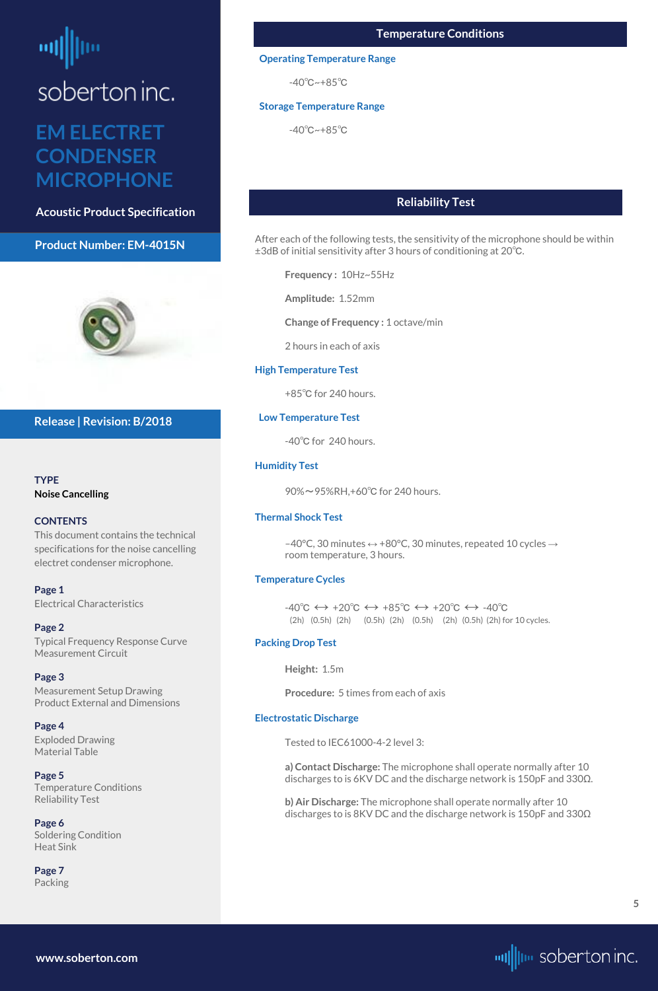## <span id="page-4-0"></span>**EM ELECTRET CONDENSER MICROPHONE**

**Acoustic Product Specification**

### **Product Number: EM-4015N**



**TYPE Noise Cancelling** 

### **CONTENTS**

This document contains the technical specifications for the noise cancelling electret condenser microphone.

**[Page 1](#page-0-0)** [Electrical Characteri](#page-0-0)stics

**[Page 2](#page-1-0)** [Typical Frequency Response Curve](#page-1-0) [Measurement Circuit](#page-1-0)

**[Page 3](#page-2-0)** [Measurement Setup Drawing](#page-2-0) [Product External and Dimensions](#page-2-0)

**[Page 4](#page-3-0)** [Exploded Drawing](#page-3-0) 

[Material Table](#page-3-0)

### **Page 5**

Temperature Conditions Reliability Test

**[Page 6](#page-5-0)** [Soldering Condition](#page-5-0) [Heat Sink](#page-5-0)

**[Page](#page-6-0) 7** [Packing](#page-6-0)

-40°C, 30 minutes  $\leftrightarrow$  +80°C, 30 minutes, repeated 10 cycles  $\rightarrow$ room temperature, 3 hours.

### **Release | Revision: B/2018**

**www.soberton.com**



### **Reliability Test**

 $-40^{\circ}C \leftrightarrow +20^{\circ}C \leftrightarrow +85^{\circ}C \leftrightarrow +20^{\circ}C \leftrightarrow -40^{\circ}C$ (2h) (0.5h) (2h) (0.5h) (2h) (0.5h) (2h) (0.5h) (2h) for 10 cycles.

After each of the following tests, the sensitivity of the microphone should be within ±3dB of initial sensitivity after 3 hours of conditioning at 20℃.

**Frequency :** 10Hz~55Hz

**Amplitude:** 1.52mm

**Change of Frequency :** 1 octave/min

2 hours in each of axis

### **High Temperature Test**

+85℃ for 240 hours.

### **Low Temperature Test**

-40℃ for 240 hours.

### **Humidity Test**

90%~95%RH,+60°C for 240 hours.

### **Thermal Shock Test**

### **Temperature Cycles**

### **Packing Drop Test**

**Height:** 1.5m

**Procedure:** 5 times from each of axis

### **Electrostatic Discharge**

Tested to IEC61000-4-2 level 3:

**a) Contact Discharge:** The microphone shall operate normally after 10 discharges to is 6KV DC and the discharge network is 150pF and 330Ω.

**b) Air Discharge:** The microphone shall operate normally after 10 discharges to is 8KV DC and the discharge network is 150pF and 330Ω

### **Operating Temperature Range**

-40℃~+85℃

### **Storage Temperature Range**

-40℃~+85℃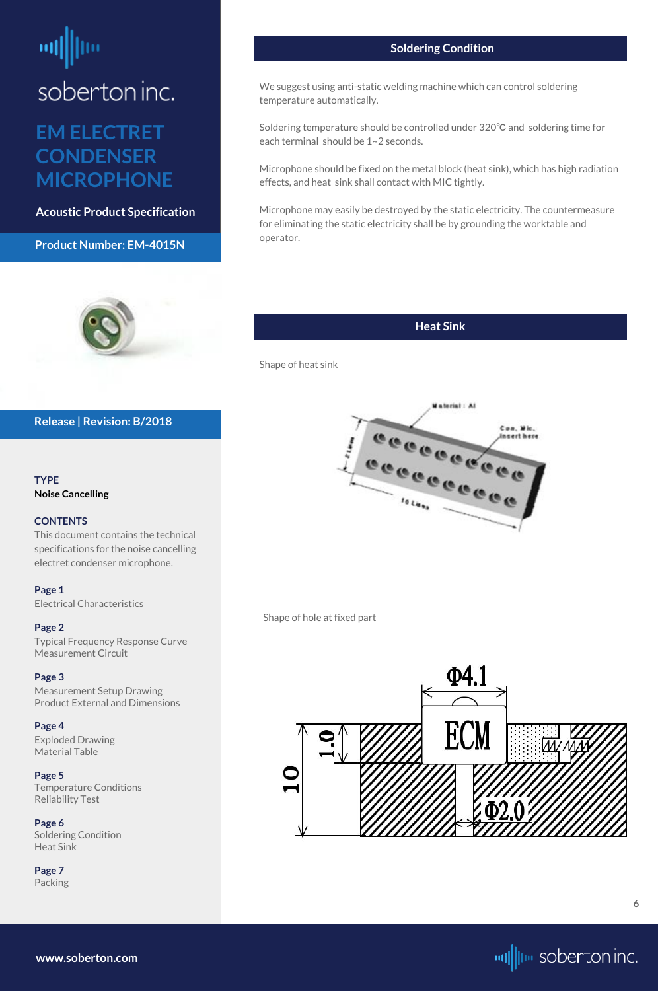### <span id="page-5-0"></span>**EM ELECTRET CONDENSER MICROPHONE**

**Acoustic Product Specification**

### **Product Number: EM-4015N**



**TYPE Noise Cancelling** 

### **CONTENTS**

This document contains the technical specifications for the noise cancelling electret condenser microphone.

**[Page 1](#page-0-0)** [Electrical Characteri](#page-0-0)stics

**[Page 2](#page-1-0)** [Typical Frequency Response Curve](#page-1-0) [Measurement Circuit](#page-1-0)

### **[Page 3](#page-2-0)** [Measurement Setup Drawing](#page-2-0) [Product External and Dimensions](#page-2-0)

**[Page 4](#page-3-0)** [Exploded Drawing](#page-3-0)  [Material Table](#page-3-0)

**[Page 5](#page-4-0)** [Temperature Conditions](#page-4-0) [Reliability Test](#page-4-0)

**Page 6** Soldering Condition Heat Sink

**[Page](#page-6-0) 7** [Packing](#page-6-0)

### **Release | Revision: B/2018**

**www.soberton.com**



### **Soldering Condition**

We suggest using anti-static welding machine which can control soldering temperature automatically.

Soldering temperature should be controlled under 320℃ and soldering time for each terminal should be 1~2 seconds.

Microphone should be fixed on the metal block (heat sink), which has high radiation effects, and heat sink shall contact with MIC tightly.

Microphone may easily be destroyed by the static electricity. The countermeasure for eliminating the static electricity shall be by grounding the worktable and operator.

### **Heat Sink**

Shape of heat sink



Shape of hole at fixed part